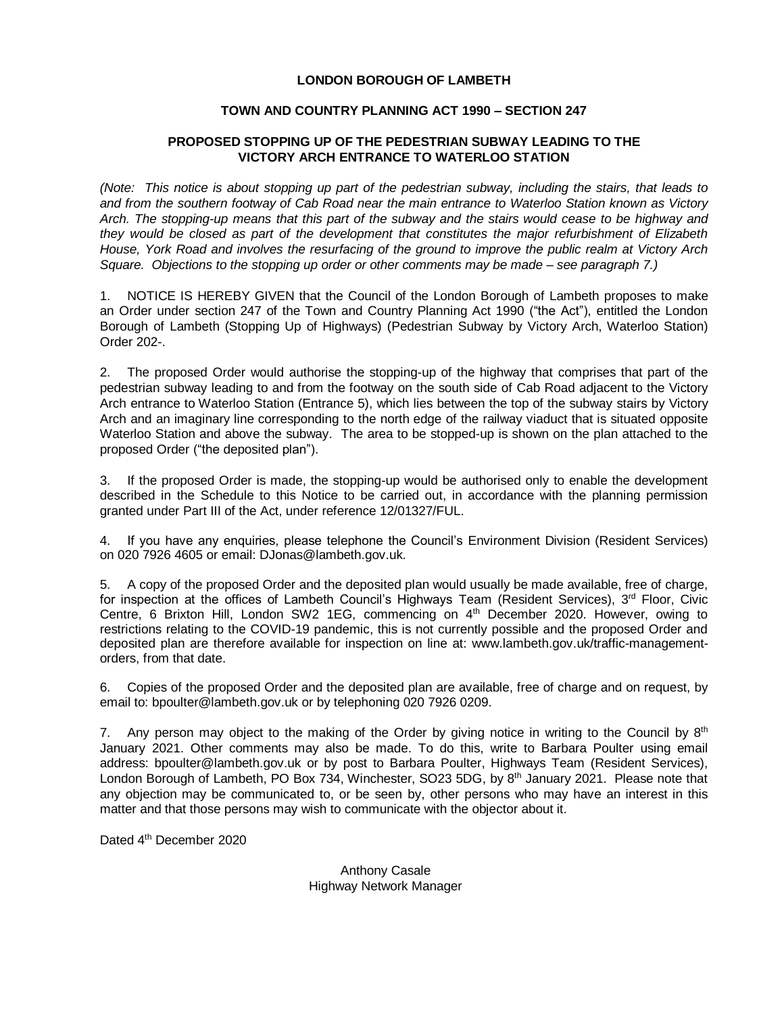## **LONDON BOROUGH OF LAMBETH**

## **TOWN AND COUNTRY PLANNING ACT 1990 – SECTION 247**

## **PROPOSED STOPPING UP OF THE PEDESTRIAN SUBWAY LEADING TO THE VICTORY ARCH ENTRANCE TO WATERLOO STATION**

*(Note: This notice is about stopping up part of the pedestrian subway, including the stairs, that leads to and from the southern footway of Cab Road near the main entrance to Waterloo Station known as Victory Arch. The stopping-up means that this part of the subway and the stairs would cease to be highway and they would be closed as part of the development that constitutes the major refurbishment of Elizabeth House, York Road and involves the resurfacing of the ground to improve the public realm at Victory Arch Square. Objections to the stopping up order or other comments may be made – see paragraph 7.)*

1. NOTICE IS HEREBY GIVEN that the Council of the London Borough of Lambeth proposes to make an Order under section 247 of the Town and Country Planning Act 1990 ("the Act"), entitled the London Borough of Lambeth (Stopping Up of Highways) (Pedestrian Subway by Victory Arch, Waterloo Station) Order 202-.

2. The proposed Order would authorise the stopping-up of the highway that comprises that part of the pedestrian subway leading to and from the footway on the south side of Cab Road adjacent to the Victory Arch entrance to Waterloo Station (Entrance 5), which lies between the top of the subway stairs by Victory Arch and an imaginary line corresponding to the north edge of the railway viaduct that is situated opposite Waterloo Station and above the subway. The area to be stopped-up is shown on the plan attached to the proposed Order ("the deposited plan").

3. If the proposed Order is made, the stopping-up would be authorised only to enable the development described in the Schedule to this Notice to be carried out, in accordance with the planning permission granted under Part III of the Act, under reference 12/01327/FUL.

4. If you have any enquiries, please telephone the Council's Environment Division (Resident Services) on 020 7926 4605 or email: [DJonas@lambeth.gov.uk.](mailto:DJonas@lambeth.gov.uk)

5. A copy of the proposed Order and the deposited plan would usually be made available, free of charge, for inspection at the offices of Lambeth Council's Highways Team (Resident Services),  $3<sup>rd</sup>$  Floor, Civic Centre, 6 Brixton Hill, London SW2 1EG, commencing on 4th December 2020. However, owing to restrictions relating to the COVID-19 pandemic, this is not currently possible and the proposed Order and deposited plan are therefore available for inspection on line at: [www.lambeth.gov.uk/traffic-management](https://eur01.safelinks.protection.outlook.com/?url=http%3A%2F%2Fwww.lambeth.gov.uk%2Ftraffic-management-orders&data=02%7C01%7CHazel.Game%40projectcentre.co.uk%7Cdb2cc4466d98464379e108d8228a177f%7C3734172ae82a4ac7a3d302949970d5e6%7C0%7C0%7C637297323791658621&sdata=%2F9T0mTHJshTJ2XJRn1W8ejKPOCPyu4ImJy8Y%2BVrLotM%3D&reserved=0)[orders,](https://eur01.safelinks.protection.outlook.com/?url=http%3A%2F%2Fwww.lambeth.gov.uk%2Ftraffic-management-orders&data=02%7C01%7CHazel.Game%40projectcentre.co.uk%7Cdb2cc4466d98464379e108d8228a177f%7C3734172ae82a4ac7a3d302949970d5e6%7C0%7C0%7C637297323791658621&sdata=%2F9T0mTHJshTJ2XJRn1W8ejKPOCPyu4ImJy8Y%2BVrLotM%3D&reserved=0) from that date.

6. Copies of the proposed Order and the deposited plan are available, free of charge and on request, by email to: [bpoulter@lambeth.gov.uk](mailto:bpoulter@lambeth.gov.uk) or by telephoning 020 7926 0209.

7. Any person may object to the making of the Order by giving notice in writing to the Council by  $8<sup>th</sup>$ January 2021. Other comments may also be made. To do this, write to Barbara Poulter using email address: [bpoulter@lambeth.gov.uk](mailto:bpoulter@lambeth.gov.uk) or by post to Barbara Poulter, Highways Team (Resident Services), London Borough of Lambeth, PO Box 734, Winchester, SO23 5DG, by 8<sup>th</sup> January 2021. Please note that any objection may be communicated to, or be seen by, other persons who may have an interest in this matter and that those persons may wish to communicate with the objector about it.

Dated 4<sup>th</sup> December 2020

Anthony Casale Highway Network Manager